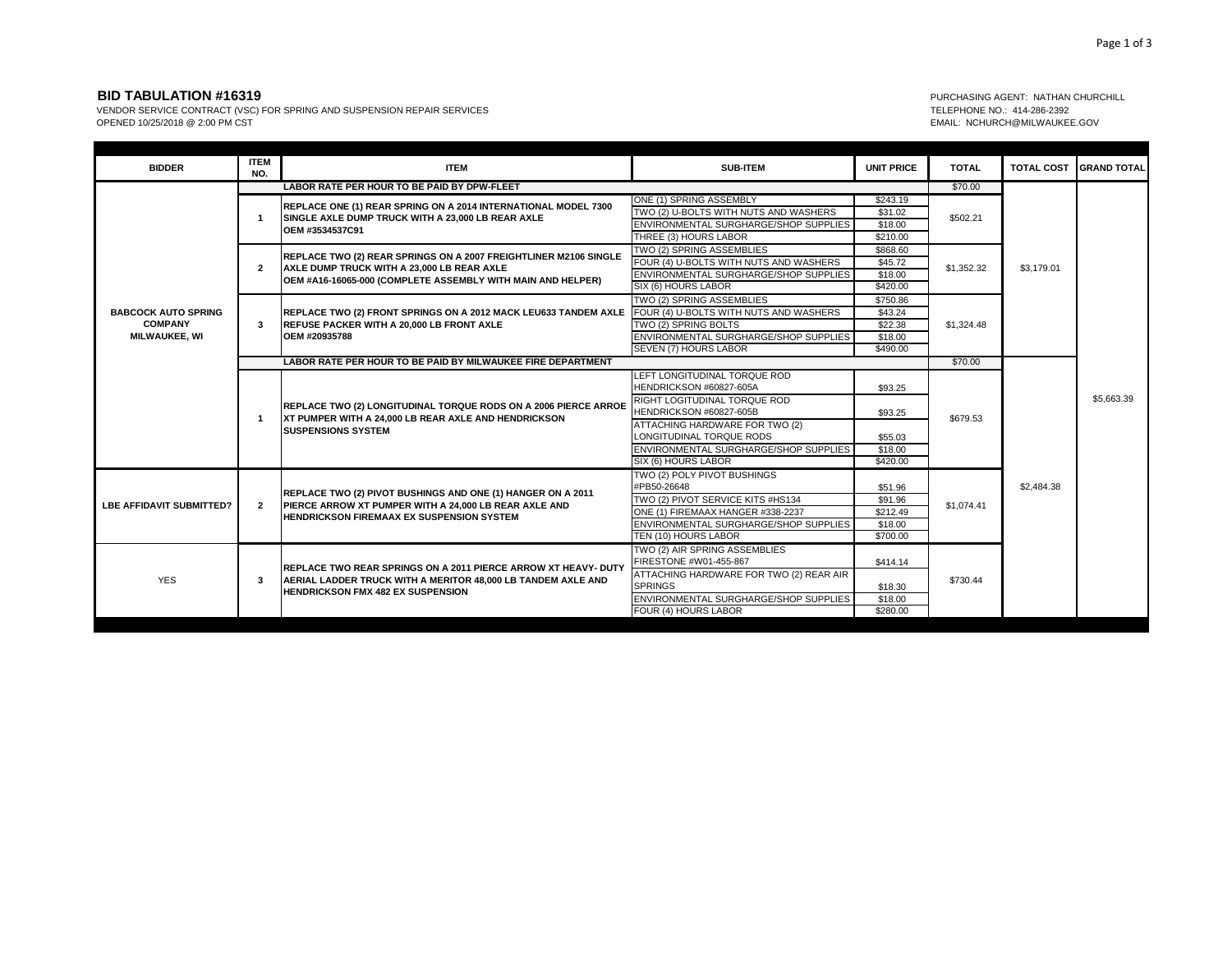## **BID TABULATION #16319** PURCHASING AGENT: NATHAN CHURCHILL

VENDOR SERVICE CONTRACT (VSC) FOR SPRING AND SUSPENSION REPAIR SERVICES<br>OPENED 10/25/2018 @ 2:00 PM CST CONTRACT (VSC) FOR SPRING AND SUSPENSION REPAIR SERVICES TELEPHONE NO.: 414-286-2392<br>COPENED 10/25/2018 @ 2:00 PM CST

EMAIL: NCHURCH@MILWAUKEE.GOV

| <b>BIDDER</b>                                                        | <b>ITEM</b><br>NO.                                          | <b>ITEM</b>                                                                                                                                                                        | <b>SUB-ITEM</b>                         | <b>UNIT PRICE</b> | <b>TOTAL</b> | <b>TOTAL COST</b> | <b>IGRAND TOTAL</b> |
|----------------------------------------------------------------------|-------------------------------------------------------------|------------------------------------------------------------------------------------------------------------------------------------------------------------------------------------|-----------------------------------------|-------------------|--------------|-------------------|---------------------|
|                                                                      | LABOR RATE PER HOUR TO BE PAID BY DPW-FLEET                 |                                                                                                                                                                                    |                                         |                   | \$70.00      |                   |                     |
|                                                                      |                                                             | <b>REPLACE ONE (1) REAR SPRING ON A 2014 INTERNATIONAL MODEL 7300</b><br>SINGLE AXLE DUMP TRUCK WITH A 23,000 LB REAR AXLE<br>OEM #3534537C91                                      | ONE (1) SPRING ASSEMBLY                 | \$243.19          | \$502.21     | \$3,179.01        |                     |
|                                                                      |                                                             |                                                                                                                                                                                    | TWO (2) U-BOLTS WITH NUTS AND WASHERS   | \$31.02           |              |                   |                     |
|                                                                      |                                                             |                                                                                                                                                                                    | ENVIRONMENTAL SURGHARGE/SHOP SUPPLIES   | \$18.00           |              |                   |                     |
|                                                                      |                                                             |                                                                                                                                                                                    | THREE (3) HOURS LABOR                   | \$210.00          |              |                   |                     |
|                                                                      | $\overline{2}$                                              | <b>REPLACE TWO (2) REAR SPRINGS ON A 2007 FREIGHTLINER M2106 SINGLE</b><br>AXLE DUMP TRUCK WITH A 23,000 LB REAR AXLE                                                              | TWO (2) SPRING ASSEMBLIES               | \$868.60          | \$1,352.32   |                   |                     |
|                                                                      |                                                             |                                                                                                                                                                                    | FOUR (4) U-BOLTS WITH NUTS AND WASHERS  | \$45.72           |              |                   |                     |
|                                                                      |                                                             | OEM #A16-16065-000 (COMPLETE ASSEMBLY WITH MAIN AND HELPER)                                                                                                                        | ENVIRONMENTAL SURGHARGE/SHOP SUPPLIES   | \$18.00           |              |                   |                     |
|                                                                      |                                                             |                                                                                                                                                                                    | SIX (6) HOURS LABOR                     | \$420.00          |              |                   |                     |
| <b>BABCOCK AUTO SPRING</b><br><b>COMPANY</b><br><b>MILWAUKEE, WI</b> |                                                             | REPLACE TWO (2) FRONT SPRINGS ON A 2012 MACK LEU633 TANDEM AXLE<br>REFUSE PACKER WITH A 20,000 LB FRONT AXLE<br>OEM #20935788                                                      | TWO (2) SPRING ASSEMBLIES               | \$750.86          |              |                   |                     |
|                                                                      |                                                             |                                                                                                                                                                                    | FOUR (4) U-BOLTS WITH NUTS AND WASHERS  | \$43.24           | \$1,324.48   |                   |                     |
|                                                                      | 3                                                           |                                                                                                                                                                                    | TWO (2) SPRING BOLTS                    | \$22.38           |              |                   |                     |
|                                                                      |                                                             |                                                                                                                                                                                    | ENVIRONMENTAL SURGHARGE/SHOP SUPPLIES   | \$18.00           |              |                   |                     |
|                                                                      |                                                             |                                                                                                                                                                                    | SEVEN (7) HOURS LABOR                   | \$490.00          |              |                   |                     |
|                                                                      | LABOR RATE PER HOUR TO BE PAID BY MILWAUKEE FIRE DEPARTMENT |                                                                                                                                                                                    |                                         |                   | \$70.00      |                   |                     |
|                                                                      |                                                             | <b>REPLACE TWO (2) LONGITUDINAL TORQUE RODS ON A 2006 PIERCE ARROE</b><br>XT PUMPER WITH A 24,000 LB REAR AXLE AND HENDRICKSON<br><b>SUSPENSIONS SYSTEM</b>                        | LEFT LONGITUDINAL TORQUE ROD            |                   | \$679.53     |                   | \$5,663.39          |
|                                                                      |                                                             |                                                                                                                                                                                    | HENDRICKSON #60827-605A                 | \$93.25           |              | \$2,484.38        |                     |
|                                                                      | -1                                                          |                                                                                                                                                                                    | RIGHT LOGITUDINAL TORQUE ROD            |                   |              |                   |                     |
|                                                                      |                                                             |                                                                                                                                                                                    | HENDRICKSON #60827-605B                 | \$93.25           |              |                   |                     |
|                                                                      |                                                             |                                                                                                                                                                                    | ATTACHING HARDWARE FOR TWO (2)          |                   |              |                   |                     |
|                                                                      |                                                             |                                                                                                                                                                                    | LONGITUDINAL TORQUE RODS                | \$55.03           |              |                   |                     |
|                                                                      |                                                             |                                                                                                                                                                                    | ENVIRONMENTAL SURGHARGE/SHOP SUPPLIES   | \$18.00           |              |                   |                     |
|                                                                      |                                                             |                                                                                                                                                                                    | SIX (6) HOURS LABOR                     | \$420.00          |              |                   |                     |
|                                                                      | $\overline{2}$                                              | REPLACE TWO (2) PIVOT BUSHINGS AND ONE (1) HANGER ON A 2011<br>PIERCE ARROW XT PUMPER WITH A 24,000 LB REAR AXLE AND<br><b>HENDRICKSON FIREMAAX EX SUSPENSION SYSTEM</b>           | TWO (2) POLY PIVOT BUSHINGS             |                   | \$1.074.41   |                   |                     |
| <b>LBE AFFIDAVIT SUBMITTED?</b>                                      |                                                             |                                                                                                                                                                                    | #PB50-26648                             | \$51.96           |              |                   |                     |
|                                                                      |                                                             |                                                                                                                                                                                    | TWO (2) PIVOT SERVICE KITS #HS134       | \$91.96           |              |                   |                     |
|                                                                      |                                                             |                                                                                                                                                                                    | ONE (1) FIREMAAX HANGER #338-2237       | \$212.49          |              |                   |                     |
|                                                                      |                                                             |                                                                                                                                                                                    | ENVIRONMENTAL SURGHARGE/SHOP SUPPLIES   | \$18.00           |              |                   |                     |
|                                                                      |                                                             |                                                                                                                                                                                    | TEN (10) HOURS LABOR                    | \$700.00          |              |                   |                     |
|                                                                      | 3                                                           | <b>IREPLACE TWO REAR SPRINGS ON A 2011 PIERCE ARROW XT HEAVY- DUTY</b><br>AERIAL LADDER TRUCK WITH A MERITOR 48,000 LB TANDEM AXLE AND<br><b>HENDRICKSON FMX 482 EX SUSPENSION</b> | TWO (2) AIR SPRING ASSEMBLIES           |                   | \$730.44     |                   |                     |
| <b>YES</b>                                                           |                                                             |                                                                                                                                                                                    | FIRESTONE #W01-455-867                  | \$414.14          |              |                   |                     |
|                                                                      |                                                             |                                                                                                                                                                                    | ATTACHING HARDWARE FOR TWO (2) REAR AIR |                   |              |                   |                     |
|                                                                      |                                                             |                                                                                                                                                                                    | <b>SPRINGS</b>                          | \$18.30           |              |                   |                     |
|                                                                      |                                                             |                                                                                                                                                                                    | ENVIRONMENTAL SURGHARGE/SHOP SUPPLIES   | \$18.00           |              |                   |                     |
|                                                                      |                                                             |                                                                                                                                                                                    | FOUR (4) HOURS LABOR                    | \$280.00          |              |                   |                     |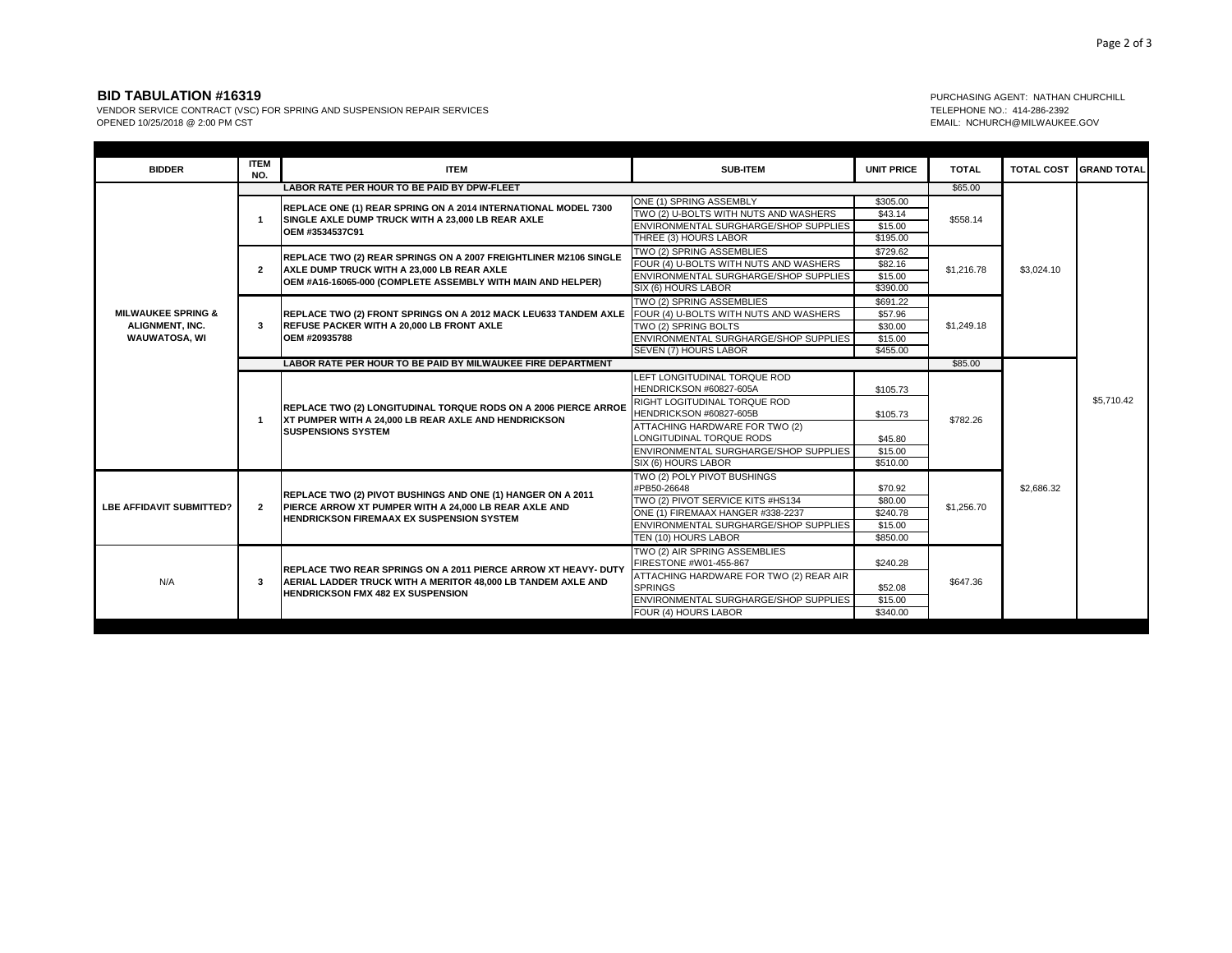## **BID TABULATION #16319** PURCHASING AGENT: NATHAN CHURCHILL

VENDOR SERVICE CONTRACT (VSC) FOR SPRING AND SUSPENSION REPAIR SERVICES<br>OPENED 10/25/2018 @ 2:00 PM CST CONTRACT (VSC) FOR SPRING AND SUSPENSION REPAIR SERVICES

EMAIL: NCHURCH@MILWAUKEE.GOV

| <b>BIDDER</b>                                                                   | <b>ITEM</b><br>NO.                                          | <b>ITEM</b>                                                                                                                                                                          | <b>SUB-ITEM</b>                                                                                           | <b>UNIT PRICE</b>              | <b>TOTAL</b>           | <b>TOTAL COST</b> | <b>GRAND TOTAL</b> |
|---------------------------------------------------------------------------------|-------------------------------------------------------------|--------------------------------------------------------------------------------------------------------------------------------------------------------------------------------------|-----------------------------------------------------------------------------------------------------------|--------------------------------|------------------------|-------------------|--------------------|
|                                                                                 |                                                             | LABOR RATE PER HOUR TO BE PAID BY DPW-FLEET                                                                                                                                          |                                                                                                           |                                |                        |                   |                    |
| <b>MILWAUKEE SPRING &amp;</b><br><b>ALIGNMENT, INC.</b><br><b>WAUWATOSA, WI</b> |                                                             | REPLACE ONE (1) REAR SPRING ON A 2014 INTERNATIONAL MODEL 7300<br>SINGLE AXLE DUMP TRUCK WITH A 23,000 LB REAR AXLE                                                                  | ONE (1) SPRING ASSEMBLY<br>TWO (2) U-BOLTS WITH NUTS AND WASHERS<br>ENVIRONMENTAL SURGHARGE/SHOP SUPPLIES | \$305.00<br>\$43.14<br>\$15.00 | \$558.14<br>\$1,216.78 | \$3,024.10        |                    |
|                                                                                 |                                                             | OEM #3534537C91                                                                                                                                                                      | THREE (3) HOURS LABOR                                                                                     | \$195.00                       |                        |                   |                    |
|                                                                                 |                                                             |                                                                                                                                                                                      | TWO (2) SPRING ASSEMBLIES                                                                                 | \$729.62                       |                        |                   |                    |
|                                                                                 |                                                             | <b>REPLACE TWO (2) REAR SPRINGS ON A 2007 FREIGHTLINER M2106 SINGLE</b><br>AXLE DUMP TRUCK WITH A 23,000 LB REAR AXLE<br>OEM #A16-16065-000 (COMPLETE ASSEMBLY WITH MAIN AND HELPER) | FOUR (4) U-BOLTS WITH NUTS AND WASHERS                                                                    | \$82.16                        |                        |                   |                    |
|                                                                                 | $\overline{2}$                                              |                                                                                                                                                                                      | ENVIRONMENTAL SURGHARGE/SHOP SUPPLIES                                                                     | \$15.00                        |                        |                   |                    |
|                                                                                 |                                                             |                                                                                                                                                                                      | SIX (6) HOURS LABOR                                                                                       | \$390.00                       |                        |                   |                    |
|                                                                                 |                                                             | REPLACE TWO (2) FRONT SPRINGS ON A 2012 MACK LEU633 TANDEM AXLE FOUR (4) U-BOLTS WITH NUTS AND WASHERS<br>REFUSE PACKER WITH A 20,000 LB FRONT AXLE<br>OEM #20935788                 | TWO (2) SPRING ASSEMBLIES                                                                                 | \$691.22                       |                        |                   |                    |
|                                                                                 |                                                             |                                                                                                                                                                                      |                                                                                                           | \$57.96                        | \$1,249.18             |                   |                    |
|                                                                                 | 3                                                           |                                                                                                                                                                                      | TWO (2) SPRING BOLTS                                                                                      | \$30.00                        |                        |                   |                    |
|                                                                                 |                                                             |                                                                                                                                                                                      | ENVIRONMENTAL SURGHARGE/SHOP SUPPLIES                                                                     | \$15.00                        |                        |                   |                    |
|                                                                                 |                                                             |                                                                                                                                                                                      | SEVEN (7) HOURS LABOR                                                                                     | \$455.00                       |                        |                   |                    |
|                                                                                 | LABOR RATE PER HOUR TO BE PAID BY MILWAUKEE FIRE DEPARTMENT |                                                                                                                                                                                      |                                                                                                           |                                | \$85.00                |                   |                    |
|                                                                                 | -1                                                          | <b>REPLACE TWO (2) LONGITUDINAL TORQUE RODS ON A 2006 PIERCE ARROE</b><br>XT PUMPER WITH A 24,000 LB REAR AXLE AND HENDRICKSON<br><b>SUSPENSIONS SYSTEM</b>                          | LEFT LONGITUDINAL TORQUE ROD<br>HENDRICKSON #60827-605A<br>RIGHT LOGITUDINAL TORQUE ROD                   | \$105.73                       | \$782.26               | \$2,686.32        | \$5,710.42         |
|                                                                                 |                                                             |                                                                                                                                                                                      | HENDRICKSON #60827-605B                                                                                   | \$105.73                       |                        |                   |                    |
|                                                                                 |                                                             |                                                                                                                                                                                      | ATTACHING HARDWARE FOR TWO (2)<br>LONGITUDINAL TORQUE RODS                                                | \$45.80                        |                        |                   |                    |
|                                                                                 |                                                             |                                                                                                                                                                                      | ENVIRONMENTAL SURGHARGE/SHOP SUPPLIES                                                                     | \$15.00                        |                        |                   |                    |
|                                                                                 |                                                             |                                                                                                                                                                                      | SIX (6) HOURS LABOR                                                                                       | \$510.00                       |                        |                   |                    |
| <b>LBE AFFIDAVIT SUBMITTED?</b>                                                 | $\overline{2}$                                              | <b>REPLACE TWO (2) PIVOT BUSHINGS AND ONE (1) HANGER ON A 2011</b><br>PIERCE ARROW XT PUMPER WITH A 24,000 LB REAR AXLE AND<br><b>HENDRICKSON FIREMAAX EX SUSPENSION SYSTEM</b>      | TWO (2) POLY PIVOT BUSHINGS<br>#PB50-26648                                                                | \$70.92                        | \$1,256.70             |                   |                    |
|                                                                                 |                                                             |                                                                                                                                                                                      | TWO (2) PIVOT SERVICE KITS #HS134                                                                         | \$80.00                        |                        |                   |                    |
|                                                                                 |                                                             |                                                                                                                                                                                      | ONE (1) FIREMAAX HANGER #338-2237                                                                         | \$240.78                       |                        |                   |                    |
|                                                                                 |                                                             |                                                                                                                                                                                      | ENVIRONMENTAL SURGHARGE/SHOP SUPPLIES                                                                     | \$15.00                        |                        |                   |                    |
|                                                                                 |                                                             |                                                                                                                                                                                      | TEN (10) HOURS LABOR                                                                                      | \$850.00                       |                        |                   |                    |
| N/A                                                                             | 3                                                           | <b>IREPLACE TWO REAR SPRINGS ON A 2011 PIERCE ARROW XT HEAVY- DUTY</b><br>AERIAL LADDER TRUCK WITH A MERITOR 48,000 LB TANDEM AXLE AND<br><b>HENDRICKSON FMX 482 EX SUSPENSION</b>   | TWO (2) AIR SPRING ASSEMBLIES<br>FIRESTONE #W01-455-867                                                   | \$240.28                       | \$647.36               |                   |                    |
|                                                                                 |                                                             |                                                                                                                                                                                      | ATTACHING HARDWARE FOR TWO (2) REAR AIR<br><b>SPRINGS</b>                                                 | \$52.08                        |                        |                   |                    |
|                                                                                 |                                                             |                                                                                                                                                                                      | ENVIRONMENTAL SURGHARGE/SHOP SUPPLIES                                                                     | \$15.00                        |                        |                   |                    |
|                                                                                 |                                                             |                                                                                                                                                                                      |                                                                                                           | FOUR (4) HOURS LABOR           | \$340.00               |                   |                    |